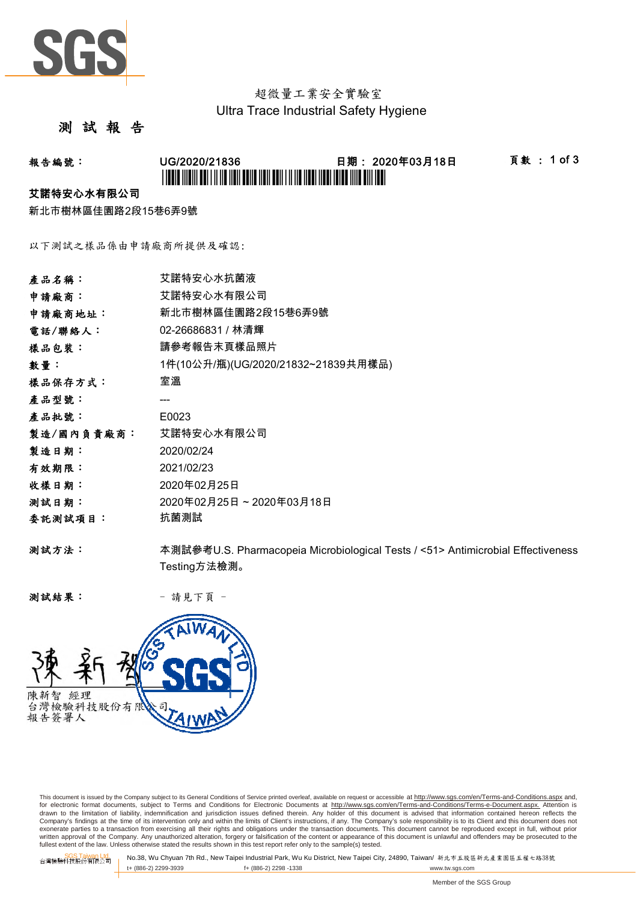

## 超微量工業安全實驗室 Ultra Trace Industrial Safety Hygiene

## 測 試 報 告

# 報告編號: UG/2020/21836 日期: 2020年03月18日 頁數 : 1 of 3 \*UG/2020/21836\*

#### 艾諾特安心水有限公司

新北市樹林區佳園路2段15巷6弄9號

以下測試之樣品係由申請廠商所提供及確認:

| 產品名稱:      | 艾諾特安心水抗菌液                                                                       |
|------------|---------------------------------------------------------------------------------|
| 申請廠商:      | 艾諾特安心水有限公司                                                                      |
| 申請廠商地址:    | 新北市樹林區佳園路2段15巷6弄9號                                                              |
| 電話/聯絡人:    | 02-26686831 / 林清輝                                                               |
| 樣品包裝:      | 請參考報告末頁樣品照片                                                                     |
| 數量:        | 1件(10公升/瓶)(UG/2020/21832~21839共用樣品)                                             |
| 樣品保存方式:    | 室溫                                                                              |
| 產品型號:      |                                                                                 |
| 產品批號:      | E0023                                                                           |
| 製造/國內負責廠商: | 艾諾特安心水有限公司                                                                      |
| 製造日期:      | 2020/02/24                                                                      |
| 有效期限:      | 2021/02/23                                                                      |
| 收樣日期:      | 2020年02月25日                                                                     |
| 测試日期:      | 2020年02月25日~2020年03月18日                                                         |
| 委託測試項目:    | 抗菌測試                                                                            |
| 测試方法:      | 本測試參考U.S. Pharmacopeia Microbiological Tests / <51> Antimicrobial Effectiveness |
|            | Testing方法檢測。                                                                    |

测試結果: - 請見下頁 -



This document is issued by the Company subject to its General Conditions of Service printed overleaf, available on request or accessible at http://www.sgs.com/en/Terms-and-Conditions.aspx and, for electronic format documents, subject to Terms and Conditions for Electronic Documents at <u>http://www.sqs.com/en/Terms-and-Conditions/Terms-e-Document.aspx.</u> Attention is<br>drawn to the limitation of liability, indemnific exonerate parties to a transaction from exercising all their rights and obligations under the transaction documents. This document cannot be reproduced except in full, without prior prior<br>written approval of the Company. A

SGS Taiwan Ltd. No.38, Wu Chyuan 7th Rd., New Taipei Industrial Park, Wu Ku District, New Taipei City, 24890, Taiwan/ 新北市五股區新北產業園區五權七路38號<br>| t+ (886-2) 2299-3939 f+ (886-2) 2298 -1338 www.tw. t+ (886-2) 2299-3939 f+ (886-2) 2298 -1338 www.tw.sgs.com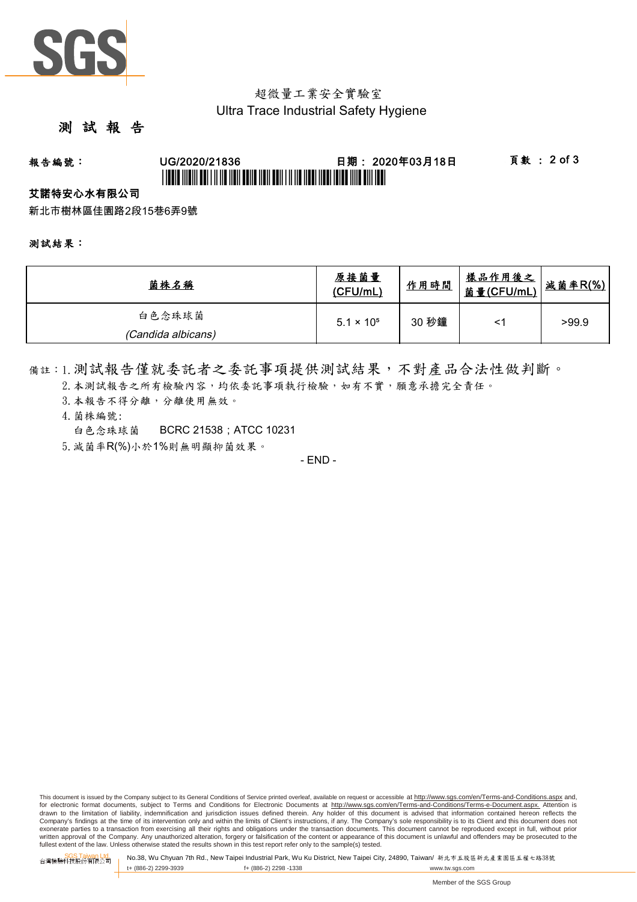

## 超微量工業安全實驗室 Ultra Trace Industrial Safety Hygiene

## 測 試 報 告

# 報告編號: UG/2020/21836 日期: 2020年03月18日 頁數 : 2 of 3 \*UGBIT INDIVI ABI I II IID NON BANA NAN ABIN I II IID NABI INDIVIDID INI BAN NABI

#### 艾諾特安心水有限公司

新北市樹林區佳園路2段15巷6弄9號

#### 測試結果:

| 菌株名稱               | 原接菌量<br>(CFU/mL)    | 作用時間  | <u>樣品作用後之</u>  <br><u>菌量(CFU/mL)</u> | 成菌率R(%) |
|--------------------|---------------------|-------|--------------------------------------|---------|
| 白色念珠球菌             | $5.1 \times 10^{5}$ | 30 秒鐘 |                                      | >99.9   |
| (Candida albicans) |                     |       |                                      |         |

備註:1.測試報告僅就委託者之委託事項提供測試結果,不對產品合法性做判斷。

- 2. 本測試報告之所有檢驗內容,均依委託事項執行檢驗,如有不實,願意承擔完全責任。
- 3. 本報告不得分離,分離使用無效。
- 4.菌株編號:
	- 白色念珠球菌 BCRC 21538;ATCC 10231
- 5.減菌率R(%)小於1%則無明顯抑菌效果。

- END -

This document is issued by the Company subject to its General Conditions of Service printed overleaf, available on request or accessible at http://www.sqs.com/en/Terms-and-Conditions.aspx and, for electronic format documents, subject to Terms and Conditions for Electronic Documents at http://www.sgs.com/en/Terms-and-Conditions/Terms-e-Document.aspx. Attention is drawn to the limitation of liability, indemnification and jurisdiction issues defined therein. Any holder of this document is advised that information contained hereon reflects the<br>Company's findings at the time of its int exonerate parties to a transaction from exercising all their rights and obligations under the transaction documents. This document cannot be reproduced except in full, without prior written approval of the Company. Any unauthorized alteration, forgery or falsification of the content or appearance of this document is unlawful and offenders may be prosecuted to the<br>fullest extent of the law. Unless othe